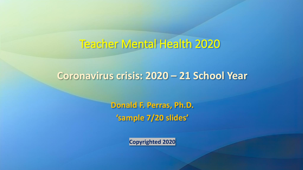## Teacher Mental Health 2020

#### **Coronavirus crisis: 2020 – 21 School Year**

**Donald F. Perras, Ph.D. 'sample 7/20 slides'**

**Copyrighted 2020**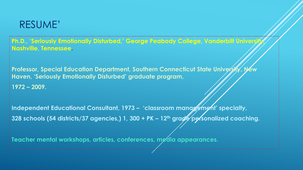#### RESUME'

**Ph.D., 'Seriously Emotionally Disturbed,' George Peabody College, Vanderbilt University, Nashville, Tennessee.**

**Professor, Special Education Department, Southern Connecticut State University, New Haven, 'Seriously Emotionally Disturbed' graduate program, 1972 – 2009.**

**Independent Educational Consultant, 1973 – 'classroom management' specialty, 328 schools (54 districts/37 agencies,) 1, 300 + PK – 12th grade personalized coaching.**

**Teacher mental workshops, articles, conferences, media appearances.**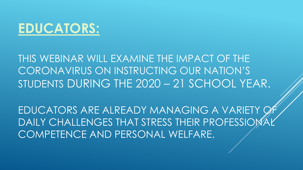

THIS WEBINAR WILL EXAMINE THE IMPACT OF THE CORONAVIRUS ON INSTRUCTING OUR NATION'S STUDENTS DURING THE 2020 – 21 SCHOOL YEAR.

EDUCATORS ARE ALREADY MANAGING A VARIETY OF DAILY CHALLENGES THAT STRESS THEIR PROFESSIOM COMPETENCE AND PERSONAL WELFARE.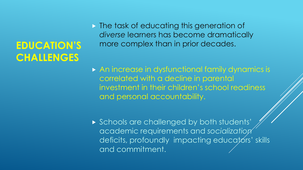# **EDUCATION'S CHALLENGES**

 $\triangleright$  The task of educating this generation of *diverse* learners has become dramatically more complex than in prior decades.

- ▶ An increase in dysfunctional family dynamics is correlated with a decline in parental investment in their children's school readiness and personal accountability.
- ▶ Schools are challenged by both students' academic requirements and *socialization*  deficits, profoundly impacting educators' skills and commitment.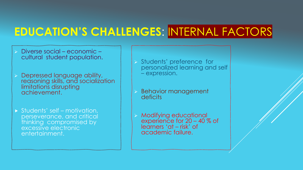# **EDUCATION'S CHALLENGES**: INTERNAL FACTORS

- ➢ Diverse social economic cultural student population.
- ➢ Depressed language ability, reasoning skills, and socialization limitations disrupting achievement.
- Students' self motivation, perseverance, and critical thinking compromised by excessive electronic entertainment.
- ➢ Students' preference for personalized learning and self – expression.
- ➢ Behavior management deficits
- ➢ Modifying educational experience for 20 – 40 % of learners 'at – risk' of academic failure.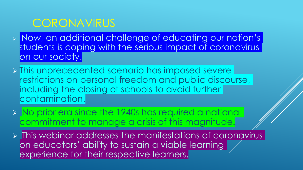## **CORONAVIRUS**

- ➢ Now, an additional challenge of educating our nation's students is coping with the serious impact of coronavirus on our society.
- ➢ This unprecedented scenario has imposed severe restrictions on personal freedom and public discourse, including the closing of schools to avoid further contamination.
- ➢ No prior era since the 1940s has required a national commitment to manage a crisis of this magnitude.
- ➢ This webinar addresses the manifestations of coronavirus on educators' ability to sustain a viable learning experience for their respective learners.